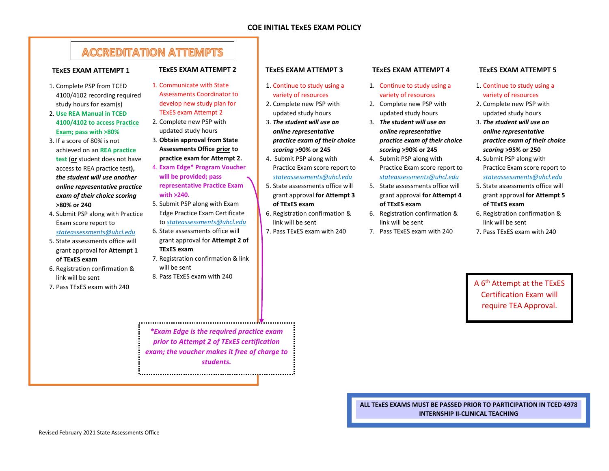## **ACCREDITATION ATTEMPTS**

#### **TExES EXAM ATTEMPT 1**

- 1. Complete PSP from TCED 4100/4102 recording required study hours for exam(s)
- 2. **Use REA Manual in TCED 4100/4102 to access Practice Exam; pass with >80%**
- 3. If a score of 80% is not achieved on an **REA practice test** (**or** student does not have access to REA practice test**),**  *the student will use another online representative practice exam of their choice scoring*  **>80% or 240**
- 4. Submit PSP along with Practice Exam score report to *stateassessments@uhcl.edu*
- 5. State assessments office will grant approval for **Attempt 1 of TExES exam**
- 6. Registration confirmation & link will be sent
- 7. Pass TExES exam with 240

### **TExES EXAM ATTEMPT 2**

- 1. Communicate with State Assessments Coordinator to develop new study plan for TExES exam Attempt 2
- 2. Complete new PSP with updated study hours
- 3. **Obtain approval from State Assessments Office prior to practice exam for Attempt 2.**
- 4. **Exam Edge\* Program Voucher will be provided; pass representative Practice Exam with >240.**
- 5. Submit PSP along with Exam Edge Practice Exam Certificate to *stateassessments@uhcl.edu*
- 6. State assessments office will grant approval for **Attempt 2 of TExES exam**
- 7. Registration confirmation & link will be sent
- 8. Pass TExES exam with 240

*\*Exam Edge is the required practice exam prior to Attempt 2 of TExES certification exam; the voucher makes it free of charge to students.*

#### **TExES EXAM ATTEMPT 3**

- 1. Continue to study using a variety of resources
- 2. Complete new PSP with updated study hours
- 3. *The student will use an online representative practice exam of their choice scoring* **>90% or 245**
- 4. Submit PSP along with Practice Exam score report to *stateassessments@uhcl.edu*
- 5. State assessments office will grant approval **for Attempt 3 of TExES exam**
- 6. Registration confirmation & link will be sent
- 7. Pass TExES exam with 240

#### **TExES EXAM ATTEMPT 4**

- 1. Continue to study using a variety of resources
- 2. Complete new PSP with updated study hours
- 3. *The student will use an online representative practice exam of their choice scoring* **>90% or 245**
- 4. Submit PSP along with Practice Exam score report to *stateassessments@uhcl.edu*
- 5. State assessments office will grant approval **for Attempt 4 of TExES exam**
- 6. Registration confirmation & link will be sent
- 7. Pass TExES exam with 240

#### **TExES EXAM ATTEMPT 5**

- 1. Continue to study using a variety of resources
- 2. Complete new PSP with updated study hours
- 3. *The student will use an online representative practice exam of their choice scoring* **>95% or 250**
- 4. Submit PSP along with Practice Exam score report to *stateassessments@uhcl.edu*
- 5. State assessments office will grant approval **for Attempt 5 of TExES exam**
- 6. Registration confirmation & link will be sent
- 7. Pass TExES exam with 240

A 6th Attempt at the TExES Certification Exam will require TEA Approval.

**ALL TExES EXAMS MUST BE PASSED PRIOR TO PARTICIPATION IN TCED 4978 INTERNSHIP II-CLINICAL TEACHING**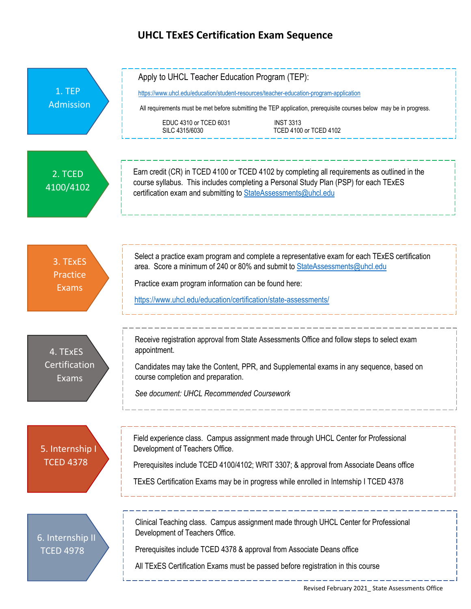# **UHCL TExES Certification Exam Sequence**

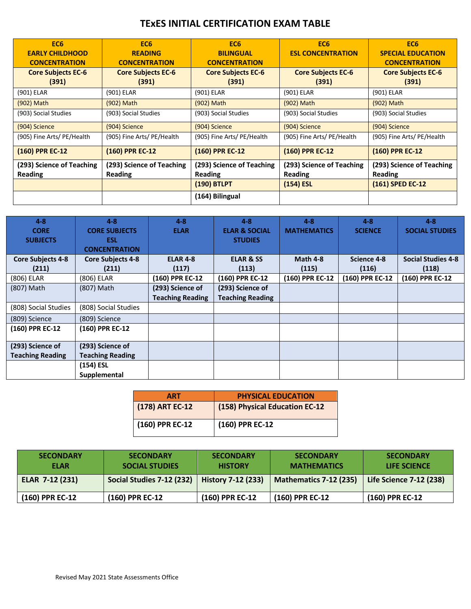## **TExES INITIAL CERTIFICATION EXAM TABLE**

| EC <sub>6</sub><br><b>EARLY CHILDHOOD</b><br><b>CONCENTRATION</b> | EC <sub>6</sub><br><b>READING</b><br><b>CONCENTRATION</b> | EC <sub>6</sub><br><b>BILINGUAL</b><br><b>CONCENTRATION</b> | EC <sub>6</sub><br><b>ESL CONCENTRATION</b>                | EC <sub>6</sub><br><b>SPECIAL EDUCATION</b><br><b>CONCENTRATION</b> |
|-------------------------------------------------------------------|-----------------------------------------------------------|-------------------------------------------------------------|------------------------------------------------------------|---------------------------------------------------------------------|
| <b>Core Subjects EC-6</b><br>(391)                                | <b>Core Subjects EC-6</b><br>(391)                        | <b>Core Subjects EC-6</b><br>(391)                          | <b>Core Subjects EC-6</b><br>(391)                         | <b>Core Subjects EC-6</b><br>(391)                                  |
| (901) ELAR                                                        | (901) ELAR                                                | (901) ELAR                                                  | (901) ELAR                                                 | (901) ELAR                                                          |
| (902) Math                                                        | (902) Math                                                | (902) Math                                                  | (902) Math                                                 | (902) Math                                                          |
| (903) Social Studies                                              | (903) Social Studies                                      | (903) Social Studies                                        | (903) Social Studies                                       | (903) Social Studies                                                |
| (904) Science                                                     | (904) Science                                             | (904) Science                                               | (904) Science                                              | (904) Science                                                       |
| (905) Fine Arts/ PE/Health                                        | (905) Fine Arts/ PE/Health                                | (905) Fine Arts/ PE/Health                                  | (905) Fine Arts/ PE/Health                                 | (905) Fine Arts/ PE/Health                                          |
| (160) PPR EC-12                                                   | (160) PPR EC-12                                           | (160) PPR EC-12                                             | (160) PPR EC-12                                            | (160) PPR EC-12                                                     |
| (293) Science of Teaching<br><b>Reading</b>                       | (293) Science of Teaching<br>Reading                      | (293) Science of Teaching<br>Reading<br>(190) BTLPT         | (293) Science of Teaching<br><b>Reading</b><br>$(154)$ ESL | (293) Science of Teaching<br><b>Reading</b><br>(161) SPED EC-12     |
|                                                                   |                                                           | (164) Bilingual                                             |                                                            |                                                                     |

| $4 - 8$                  | $4 - 8$                  | $4 - 8$                 | $4 - 8$                  | $4 - 8$            | $4 - 8$         | $4 - 8$                   |
|--------------------------|--------------------------|-------------------------|--------------------------|--------------------|-----------------|---------------------------|
| <b>CORE</b>              | <b>CORE SUBJECTS</b>     | <b>ELAR</b>             | <b>ELAR &amp; SOCIAL</b> | <b>MATHEMATICS</b> | <b>SCIENCE</b>  | <b>SOCIAL STUDIES</b>     |
| <b>SUBJECTS</b>          | <b>ESL</b>               |                         | <b>STUDIES</b>           |                    |                 |                           |
|                          | <b>CONCENTRATION</b>     |                         |                          |                    |                 |                           |
| <b>Core Subjects 4-8</b> | <b>Core Subjects 4-8</b> | <b>ELAR 4-8</b>         | <b>ELAR &amp; SS</b>     | Math 4-8           | Science 4-8     | <b>Social Studies 4-8</b> |
| (211)                    | (211)                    | (117)                   | (113)                    | (115)              | (116)           | (118)                     |
| (806) ELAR               | (806) ELAR               | (160) PPR EC-12         | (160) PPR EC-12          | (160) PPR EC-12    | (160) PPR EC-12 | (160) PPR EC-12           |
| (807) Math               | (807) Math               | (293) Science of        | (293) Science of         |                    |                 |                           |
|                          |                          | <b>Teaching Reading</b> | <b>Teaching Reading</b>  |                    |                 |                           |
| (808) Social Studies     | (808) Social Studies     |                         |                          |                    |                 |                           |
| (809) Science            | (809) Science            |                         |                          |                    |                 |                           |
| (160) PPR EC-12          | (160) PPR EC-12          |                         |                          |                    |                 |                           |
|                          |                          |                         |                          |                    |                 |                           |
| (293) Science of         | (293) Science of         |                         |                          |                    |                 |                           |
| <b>Teaching Reading</b>  | <b>Teaching Reading</b>  |                         |                          |                    |                 |                           |
|                          | (154) ESL                |                         |                          |                    |                 |                           |
|                          | Supplemental             |                         |                          |                    |                 |                           |

| <b>ART</b>      | <b>PHYSICAL EDUCATION</b>      |
|-----------------|--------------------------------|
| (178) ART EC-12 | (158) Physical Education EC-12 |
| (160) PPR EC-12 | (160) PPR EC-12                |

| <b>SECONDARY</b><br><b>ELAR</b> | <b>SECONDARY</b><br><b>SOCIAL STUDIES</b> | <b>SECONDARY</b><br><b>HISTORY</b> | <b>SECONDARY</b><br><b>MATHEMATICS</b> | <b>SECONDARY</b><br>LIFE SCIENCE |
|---------------------------------|-------------------------------------------|------------------------------------|----------------------------------------|----------------------------------|
| ELAR 7-12 (231)                 | Social Studies 7-12 (232)                 | <b>History 7-12 (233)</b>          | <b>Mathematics 7-12 (235)</b>          | Life Science 7-12 (238)          |
| (160) PPR EC-12                 | (160) PPR EC-12                           | (160) PPR EC-12                    | (160) PPR EC-12                        | (160) PPR EC-12                  |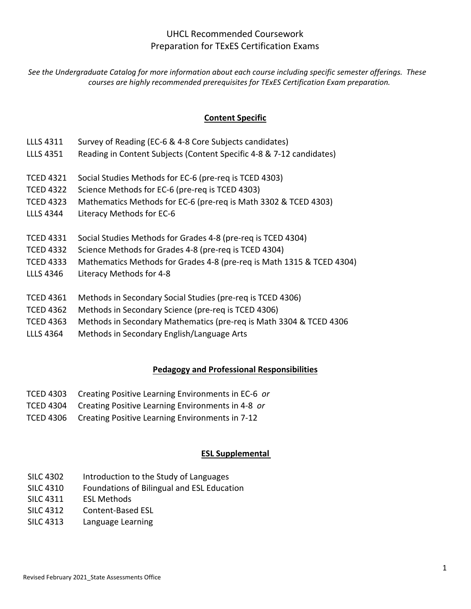## UHCL Recommended Coursework Preparation for TExES Certification Exams

*See the Undergraduate Catalog for more information about each course including specific semester offerings. These courses are highly recommended prerequisites for TExES Certification Exam preparation.*

### **Content Specific**

- LLLS 4311 Survey of Reading (EC-6 & 4-8 Core Subjects candidates)
- LLLS 4351 Reading in Content Subjects (Content Specific 4-8 & 7-12 candidates)
- TCED 4321 Social Studies Methods for EC-6 (pre-req is TCED 4303)
- TCED 4322 Science Methods for EC-6 (pre-req is TCED 4303)
- TCED 4323 Mathematics Methods for EC-6 (pre-req is Math 3302 & TCED 4303)
- LLLS 4344 Literacy Methods for EC-6
- TCED 4331 Social Studies Methods for Grades 4-8 (pre-req is TCED 4304)
- TCED 4332 Science Methods for Grades 4-8 (pre-req is TCED 4304)
- TCED 4333 Mathematics Methods for Grades 4-8 (pre-req is Math 1315 & TCED 4304)
- LLLS 4346 Literacy Methods for 4-8
- TCED 4361 Methods in Secondary Social Studies (pre-req is TCED 4306)
- TCED 4362 Methods in Secondary Science (pre-req is TCED 4306)
- TCED 4363 Methods in Secondary Mathematics (pre-req is Math 3304 & TCED 4306
- LLLS 4364 Methods in Secondary English/Language Arts

### **Pedagogy and Professional Responsibilities**

- TCED 4303 Creating Positive Learning Environments in EC-6 *or*
- TCED 4304 Creating Positive Learning Environments in 4-8 *or*
- TCED 4306 Creating Positive Learning Environments in 7-12

### **ESL Supplemental**

- SILC 4302 Introduction to the Study of Languages
- SILC 4310 Foundations of Bilingual and ESL Education
- SILC 4311 ESL Methods
- SILC 4312 Content-Based ESL
- SILC 4313 Language Learning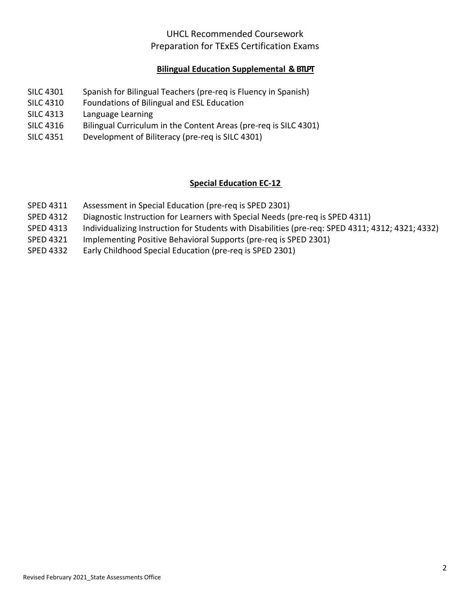## UHCL Recommended Coursework Preparation for TExES Certification Exams

### **Bilingual Education Supplemental & BTLPT**

- SILC 4301 Spanish for Bilingual Teachers (pre-req is Fluency in Spanish)
- SILC 4310 Foundations of Bilingual and ESL Education
- SILC 4313 Language Learning
- SILC 4316 Bilingual Curriculum in the Content Areas (pre-req is SILC 4301)
- SILC 4351 Development of Biliteracy (pre-req is SILC 4301)

## **Special Education EC‐12**

- SPED 4311 Assessment in Special Education (pre-req is SPED 2301)
- SPED 4312 Diagnostic Instruction for Learners with Special Needs (pre-req is SPED 4311)
- SPED 4313 Individualizing Instruction for Students with Disabilities (pre-req: SPED 4311; 4312; 4321; 4332)
- SPED 4321 Implementing Positive Behavioral Supports (pre-req is SPED 2301)
- SPED 4332 Early Childhood Special Education (pre-req is SPED 2301)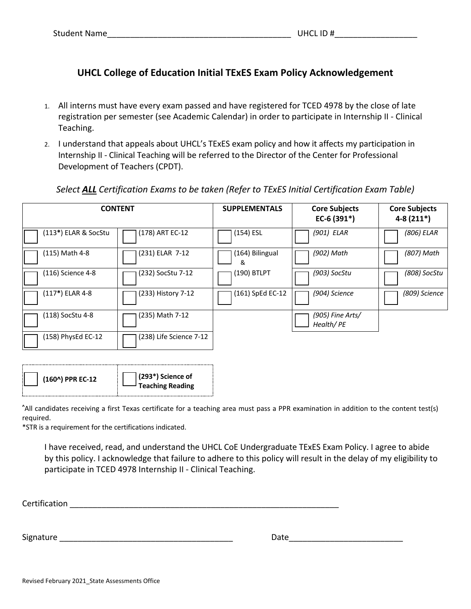## **UHCL College of Education Initial TExES Exam Policy Acknowledgement**

- 1. All interns must have every exam passed and have registered for TCED 4978 by the close of late registration per semester (see Academic Calendar) in order to participate in Internship II - Clinical Teaching.
- 2. I understand that appeals about UHCL's TExES exam policy and how it affects my participation in Internship II - Clinical Teaching will be referred to the Director of the Center for Professional Development of Teachers (CPDT).

### *Select ALL Certification Exams to be taken (Refer to TExES Initial Certification Exam Table)*

| <b>CONTENT</b>       |                         | <b>SUPPLEMENTALS</b> | <b>Core Subjects</b><br>EC-6 (391*) | <b>Core Subjects</b><br>$4-8(211*)$ |
|----------------------|-------------------------|----------------------|-------------------------------------|-------------------------------------|
| (113*) ELAR & SocStu | (178) ART EC-12         | (154) ESL            | (901) ELAR                          | (806) ELAR                          |
| (115) Math 4-8       | (231) ELAR 7-12         | (164) Bilingual<br>& | (902) Math                          | (807) Math                          |
| (116) Science 4-8    | (232) SocStu 7-12       | (190) BTLPT          | (903) SocStu                        | (808) SocStu                        |
| (117*) ELAR 4-8      | (233) History 7-12      | (161) SpEd EC-12     | (904) Science                       | (809) Science                       |
| (118) SocStu 4-8     | (235) Math 7-12         |                      | $(905)$ Fine Arts/<br>Health/PE     |                                     |
| (158) PhysEd EC-12   | (238) Life Science 7-12 |                      |                                     |                                     |

**^** All candidates receiving a first Texas certificate for a teaching area must pass a PPR examination in addition to the content test(s) required.

\*STR is a requirement for the certifications indicated.

I have received, read, and understand the UHCL CoE Undergraduate TExES Exam Policy. I agree to abide by this policy. I acknowledge that failure to adhere to this policy will result in the delay of my eligibility to participate in TCED 4978 Internship II - Clinical Teaching.

Certification and the control of the control of the control of the control of the control of the control of the control of the control of the control of the control of the control of the control of the control of the contr

Signature \_\_\_\_\_\_\_\_\_\_\_\_\_\_\_\_\_\_\_\_\_\_\_\_\_\_\_\_\_\_\_\_\_\_\_\_\_\_ Date\_\_\_\_\_\_\_\_\_\_\_\_\_\_\_\_\_\_\_\_\_\_\_\_\_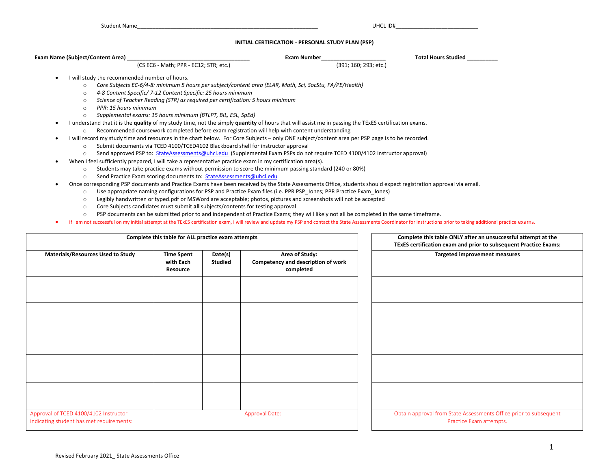#### **INITIAL CERTIFICATION - PERSONAL STUDY PLAN (PSP)**

| <b>Exam Name (Subject/Content Area)</b>                                                                                                                         | <b>Exam Number</b>                                                                                                         | <b>Total Hours Studied</b> |  |  |  |  |  |
|-----------------------------------------------------------------------------------------------------------------------------------------------------------------|----------------------------------------------------------------------------------------------------------------------------|----------------------------|--|--|--|--|--|
| (CS EC6 - Math; PPR - EC12; STR; etc.)                                                                                                                          | (391; 160; 293; etc.)                                                                                                      |                            |  |  |  |  |  |
| I will study the recommended number of hours.                                                                                                                   |                                                                                                                            |                            |  |  |  |  |  |
| Core Subjects EC-6/4-8: minimum 5 hours per subject/content area (ELAR, Math, Sci, SocStu, FA/PE/Health)<br>$\circ$                                             |                                                                                                                            |                            |  |  |  |  |  |
| $\circ$                                                                                                                                                         | 4-8 Content Specific/ 7-12 Content Specific: 25 hours minimum                                                              |                            |  |  |  |  |  |
| Science of Teacher Reading (STR) as required per certification: 5 hours minimum<br>$\circ$                                                                      |                                                                                                                            |                            |  |  |  |  |  |
| PPR: 15 hours minimum<br>$\circ$                                                                                                                                |                                                                                                                            |                            |  |  |  |  |  |
| Supplemental exams: 15 hours minimum (BTLPT, BIL, ESL, SpEd)<br>$\circ$                                                                                         |                                                                                                                            |                            |  |  |  |  |  |
| I understand that it is the quality of my study time, not the simply quantity of hours that will assist me in passing the TExES certification exams.            |                                                                                                                            |                            |  |  |  |  |  |
| Recommended coursework completed before exam registration will help with content understanding<br>$\circ$                                                       |                                                                                                                            |                            |  |  |  |  |  |
| I will record my study time and resources in the chart below. For Core Subjects - only ONE subject/content area per PSP page is to be recorded.                 |                                                                                                                            |                            |  |  |  |  |  |
| Submit documents via TCED 4100/TCED4102 Blackboard shell for instructor approval<br>$\circ$                                                                     |                                                                                                                            |                            |  |  |  |  |  |
| $\circ$                                                                                                                                                         | Send approved PSP to: StateAssessments@uhcl.edu (Supplemental Exam PSPs do not require TCED 4100/4102 instructor approval) |                            |  |  |  |  |  |
| When I feel sufficiently prepared, I will take a representative practice exam in my certification area(s).                                                      |                                                                                                                            |                            |  |  |  |  |  |
| Students may take practice exams without permission to score the minimum passing standard (240 or 80%)<br>$\circ$                                               |                                                                                                                            |                            |  |  |  |  |  |
| Send Practice Exam scoring documents to: StateAssessments@uhcl.edu<br>$\circ$                                                                                   |                                                                                                                            |                            |  |  |  |  |  |
| Once corresponding PSP documents and Practice Exams have been received by the State Assessments Office, students should expect registration approval via email. |                                                                                                                            |                            |  |  |  |  |  |
| Use appropriate naming configurations for PSP and Practice Exam files (i.e. PPR PSP Jones; PPR Practice Exam Jones)<br>$\Omega$                                 |                                                                                                                            |                            |  |  |  |  |  |
| Legibly handwritten or typed.pdf or MSWord are acceptable; photos, pictures and screenshots will not be accepted<br>$\circ$                                     |                                                                                                                            |                            |  |  |  |  |  |
| Core Subjects candidates must submit all subjects/contents for testing approval<br>$\circ$                                                                      |                                                                                                                            |                            |  |  |  |  |  |
| PSP documents can be submitted prior to and independent of Practice Exams; they will likely not all be completed in the same timeframe.<br>O                    |                                                                                                                            |                            |  |  |  |  |  |

• If I am not successful on my initial attempt at the TExES certification exam, I will review and update my PSP and contact the State Assessments Coordinator for instructions prior to taking additional practice exams.

| Complete this table for ALL practice exam attempts                                |                                            |                           | Complete this table ONLY after an unsuccessful attempt at the<br>TExES certification exam and prior to subsequent Practice Exams: |                                                                                              |
|-----------------------------------------------------------------------------------|--------------------------------------------|---------------------------|-----------------------------------------------------------------------------------------------------------------------------------|----------------------------------------------------------------------------------------------|
| <b>Materials/Resources Used to Study</b>                                          | <b>Time Spent</b><br>with Each<br>Resource | Date(s)<br><b>Studied</b> | Area of Study:<br>Competency and description of work<br>completed                                                                 | <b>Targeted improvement measures</b>                                                         |
|                                                                                   |                                            |                           |                                                                                                                                   |                                                                                              |
|                                                                                   |                                            |                           |                                                                                                                                   |                                                                                              |
|                                                                                   |                                            |                           |                                                                                                                                   |                                                                                              |
|                                                                                   |                                            |                           |                                                                                                                                   |                                                                                              |
|                                                                                   |                                            |                           |                                                                                                                                   |                                                                                              |
| Approval of TCED 4100/4102 Instructor<br>indicating student has met requirements: |                                            |                           | <b>Approval Date:</b>                                                                                                             | Obtain approval from State Assessments Office prior to subsequent<br>Practice Exam attempts. |